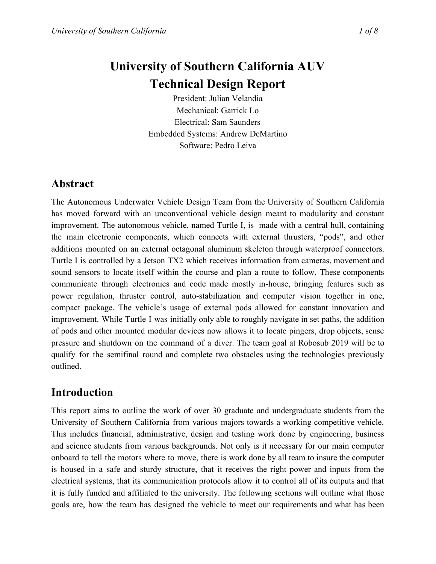# **University of Southern California AUV Technical Design Report**

President: Julian Velandia Mechanical: Garrick Lo Electrical: Sam Saunders Embedded Systems: Andrew DeMartino Software: Pedro Leiva

## **Abstract**

The Autonomous Underwater Vehicle Design Team from the University of Southern California has moved forward with an unconventional vehicle design meant to modularity and constant improvement. The autonomous vehicle, named Turtle I, is made with a central hull, containing the main electronic components, which connects with external thrusters, "pods", and other additions mounted on an external octagonal aluminum skeleton through waterproof connectors. Turtle I is controlled by a Jetson TX2 which receives information from cameras, movement and sound sensors to locate itself within the course and plan a route to follow. These components communicate through electronics and code made mostly in-house, bringing features such as power regulation, thruster control, auto-stabilization and computer vision together in one, compact package. The vehicle's usage of external pods allowed for constant innovation and improvement. While Turtle I was initially only able to roughly navigate in set paths, the addition of pods and other mounted modular devices now allows it to locate pingers, drop objects, sense pressure and shutdown on the command of a diver. The team goal at Robosub 2019 will be to qualify for the semifinal round and complete two obstacles using the technologies previously outlined.

## **Introduction**

This report aims to outline the work of over 30 graduate and undergraduate students from the University of Southern California from various majors towards a working competitive vehicle. This includes financial, administrative, design and testing work done by engineering, business and science students from various backgrounds. Not only is it necessary for our main computer onboard to tell the motors where to move, there is work done by all team to insure the computer is housed in a safe and sturdy structure, that it receives the right power and inputs from the electrical systems, that its communication protocols allow it to control all of its outputs and that it is fully funded and affiliated to the university. The following sections will outline what those goals are, how the team has designed the vehicle to meet our requirements and what has been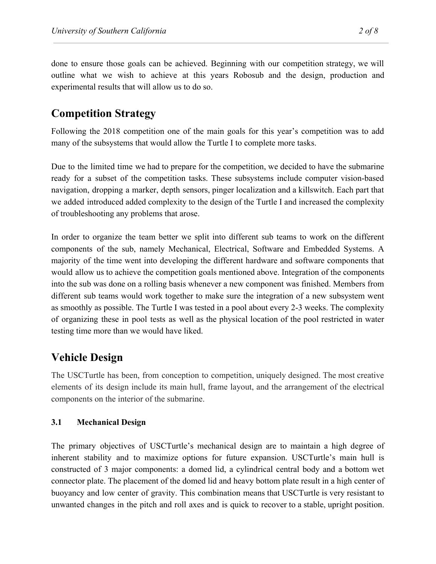done to ensure those goals can be achieved. Beginning with our competition strategy, we will outline what we wish to achieve at this years Robosub and the design, production and experimental results that will allow us to do so.

### **Competition Strategy**

Following the 2018 competition one of the main goals for this year's competition was to add many of the subsystems that would allow the Turtle I to complete more tasks.

Due to the limited time we had to prepare for the competition, we decided to have the submarine ready for a subset of the competition tasks. These subsystems include computer vision-based navigation, dropping a marker, depth sensors, pinger localization and a killswitch. Each part that we added introduced added complexity to the design of the Turtle I and increased the complexity of troubleshooting any problems that arose.

In order to organize the team better we split into different sub teams to work on the different components of the sub, namely Mechanical, Electrical, Software and Embedded Systems. A majority of the time went into developing the different hardware and software components that would allow us to achieve the competition goals mentioned above. Integration of the components into the sub was done on a rolling basis whenever a new component was finished. Members from different sub teams would work together to make sure the integration of a new subsystem went as smoothly as possible. The Turtle I was tested in a pool about every 2-3 weeks. The complexity of organizing these in pool tests as well as the physical location of the pool restricted in water testing time more than we would have liked.

### **Vehicle Design**

The USCTurtle has been, from conception to competition, uniquely designed. The most creative elements of its design include its main hull, frame layout, and the arrangement of the electrical components on the interior of the submarine.

### **3.1 Mechanical Design**

The primary objectives of USCTurtle's mechanical design are to maintain a high degree of inherent stability and to maximize options for future expansion. USCTurtle's main hull is constructed of 3 major components: a domed lid, a cylindrical central body and a bottom wet connector plate. The placement of the domed lid and heavy bottom plate result in a high center of buoyancy and low center of gravity. This combination means that USCTurtle is very resistant to unwanted changes in the pitch and roll axes and is quick to recover to a stable, upright position.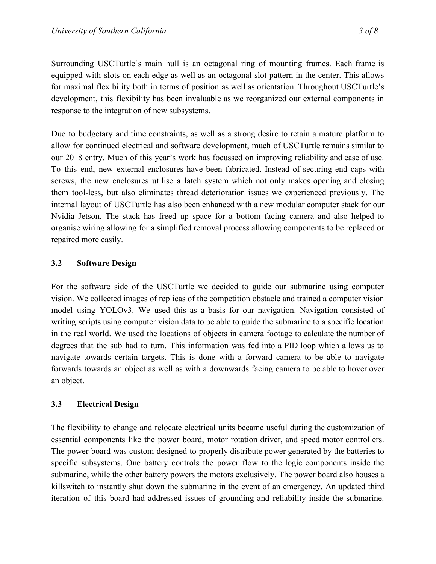Surrounding USCTurtle's main hull is an octagonal ring of mounting frames. Each frame is equipped with slots on each edge as well as an octagonal slot pattern in the center. This allows for maximal flexibility both in terms of position as well as orientation. Throughout USCTurtle's development, this flexibility has been invaluable as we reorganized our external components in response to the integration of new subsystems.

Due to budgetary and time constraints, as well as a strong desire to retain a mature platform to allow for continued electrical and software development, much of USCTurtle remains similar to our 2018 entry. Much of this year's work has focussed on improving reliability and ease of use. To this end, new external enclosures have been fabricated. Instead of securing end caps with screws, the new enclosures utilise a latch system which not only makes opening and closing them tool-less, but also eliminates thread deterioration issues we experienced previously. The internal layout of USCTurtle has also been enhanced with a new modular computer stack for our Nvidia Jetson. The stack has freed up space for a bottom facing camera and also helped to organise wiring allowing for a simplified removal process allowing components to be replaced or repaired more easily.

### **3.2 Software Design**

For the software side of the USCTurtle we decided to guide our submarine using computer vision. We collected images of replicas of the competition obstacle and trained a computer vision model using YOLOv3. We used this as a basis for our navigation. Navigation consisted of writing scripts using computer vision data to be able to guide the submarine to a specific location in the real world. We used the locations of objects in camera footage to calculate the number of degrees that the sub had to turn. This information was fed into a PID loop which allows us to navigate towards certain targets. This is done with a forward camera to be able to navigate forwards towards an object as well as with a downwards facing camera to be able to hover over an object.

### **3.3 Electrical Design**

The flexibility to change and relocate electrical units became useful during the customization of essential components like the power board, motor rotation driver, and speed motor controllers. The power board was custom designed to properly distribute power generated by the batteries to specific subsystems. One battery controls the power flow to the logic components inside the submarine, while the other battery powers the motors exclusively. The power board also houses a killswitch to instantly shut down the submarine in the event of an emergency. An updated third iteration of this board had addressed issues of grounding and reliability inside the submarine.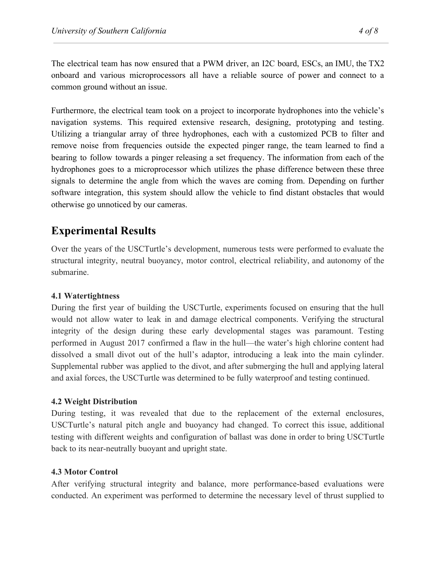The electrical team has now ensured that a PWM driver, an I2C board, ESCs, an IMU, the TX2 onboard and various microprocessors all have a reliable source of power and connect to a common ground without an issue.

Furthermore, the electrical team took on a project to incorporate hydrophones into the vehicle's navigation systems. This required extensive research, designing, prototyping and testing. Utilizing a triangular array of three hydrophones, each with a customized PCB to filter and remove noise from frequencies outside the expected pinger range, the team learned to find a bearing to follow towards a pinger releasing a set frequency. The information from each of the hydrophones goes to a microprocessor which utilizes the phase difference between these three signals to determine the angle from which the waves are coming from. Depending on further software integration, this system should allow the vehicle to find distant obstacles that would otherwise go unnoticed by our cameras.

### **Experimental Results**

Over the years of the USCTurtle's development, numerous tests were performed to evaluate the structural integrity, neutral buoyancy, motor control, electrical reliability, and autonomy of the submarine.

### **4.1 Watertightness**

During the first year of building the USCTurtle, experiments focused on ensuring that the hull would not allow water to leak in and damage electrical components. Verifying the structural integrity of the design during these early developmental stages was paramount. Testing performed in August 2017 confirmed a flaw in the hull—the water's high chlorine content had dissolved a small divot out of the hull's adaptor, introducing a leak into the main cylinder. Supplemental rubber was applied to the divot, and after submerging the hull and applying lateral and axial forces, the USCTurtle was determined to be fully waterproof and testing continued.

### **4.2 Weight Distribution**

During testing, it was revealed that due to the replacement of the external enclosures, USCTurtle's natural pitch angle and buoyancy had changed. To correct this issue, additional testing with different weights and configuration of ballast was done in order to bring USCTurtle back to its near-neutrally buoyant and upright state.

### **4.3 Motor Control**

After verifying structural integrity and balance, more performance-based evaluations were conducted. An experiment was performed to determine the necessary level of thrust supplied to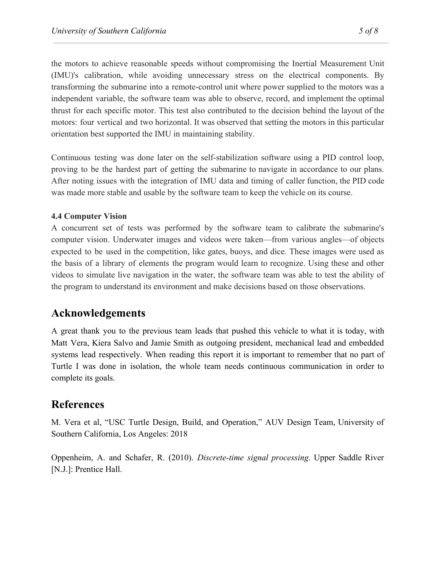the motors to achieve reasonable speeds without compromising the Inertial Measurement Unit (IMU)'s calibration, while avoiding unnecessary stress on the electrical components. By transforming the submarine into a remote-control unit where power supplied to the motors was a independent variable, the software team was able to observe, record, and implement the optimal thrust for each specific motor. This test also contributed to the decision behind the layout of the motors: four vertical and two horizontal. It was observed that setting the motors in this particular orientation best supported the IMU in maintaining stability.

Continuous testing was done later on the self-stabilization software using a PID control loop, proving to be the hardest part of getting the submarine to navigate in accordance to our plans. After noting issues with the integration of IMU data and timing of caller function, the PID code was made more stable and usable by the software team to keep the vehicle on its course.

### **4.4 Computer Vision**

A concurrent set of tests was performed by the software team to calibrate the submarine's computer vision. Underwater images and videos were taken—from various angles—of objects expected to be used in the competition, like gates, buoys, and dice. These images were used as the basis of a library of elements the program would learn to recognize. Using these and other videos to simulate live navigation in the water, the software team was able to test the ability of the program to understand its environment and make decisions based on those observations.

### **Acknowledgements**

A great thank you to the previous team leads that pushed this vehicle to what it is today, with Matt Vera, Kiera Salvo and Jamie Smith as outgoing president, mechanical lead and embedded systems lead respectively. When reading this report it is important to remember that no part of Turtle I was done in isolation, the whole team needs continuous communication in order to complete its goals.

### **References**

M. Vera et al, "USC Turtle Design, Build, and Operation," AUV Design Team, University of Southern California, Los Angeles: 2018

Oppenheim, A. and Schafer, R. (2010). *Discrete-time signal processing*. Upper Saddle River [N.J.]: Prentice Hall.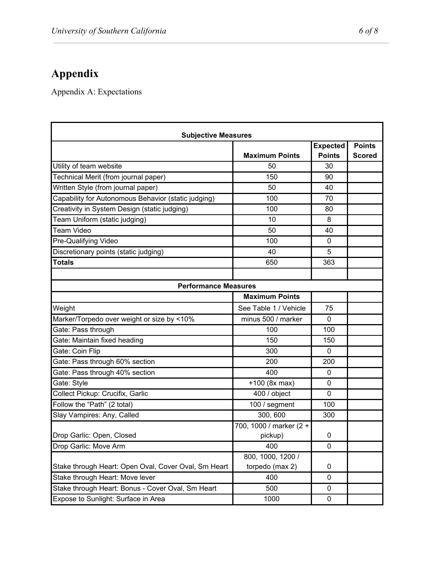# **Appendix**

Appendix A: Expectations

| <b>Subjective Measures</b>                           |                         |                 |               |  |  |
|------------------------------------------------------|-------------------------|-----------------|---------------|--|--|
|                                                      |                         | <b>Expected</b> | <b>Points</b> |  |  |
|                                                      | <b>Maximum Points</b>   | <b>Points</b>   | <b>Scored</b> |  |  |
| Utility of team website                              | 50                      | 30              |               |  |  |
| Technical Merit (from journal paper)                 | 150                     | 90              |               |  |  |
| Written Style (from journal paper)                   | 50                      | 40              |               |  |  |
| Capability for Autonomous Behavior (static judging)  | 100                     | 70              |               |  |  |
| Creativity in System Design (static judging)         | 100                     | 80              |               |  |  |
| Team Uniform (static judging)                        | 10                      | 8               |               |  |  |
| <b>Team Video</b>                                    | 50                      | 40              |               |  |  |
| Pre-Qualifying Video                                 | 100                     | $\mathbf{0}$    |               |  |  |
| Discretionary points (static judging)                | 40                      | 5               |               |  |  |
| Totals                                               | 650                     | 363             |               |  |  |
|                                                      |                         |                 |               |  |  |
| <b>Performance Measures</b>                          |                         |                 |               |  |  |
|                                                      | <b>Maximum Points</b>   |                 |               |  |  |
| Weight                                               | See Table 1 / Vehicle   | 75              |               |  |  |
| Marker/Torpedo over weight or size by <10%           | minus 500 / marker      | $\mathbf 0$     |               |  |  |
| Gate: Pass through                                   | 100                     | 100             |               |  |  |
| Gate: Maintain fixed heading                         | 150                     | 150             |               |  |  |
| Gate: Coin Flip                                      | 300                     | 0               |               |  |  |
| Gate: Pass through 60% section                       | 200                     | 200             |               |  |  |
| Gate: Pass through 40% section                       | 400                     | 0               |               |  |  |
| Gate: Style                                          | +100 (8x max)           | 0               |               |  |  |
| Collect Pickup: Crucifix, Garlic                     | 400 / object            | $\mathbf 0$     |               |  |  |
| Follow the "Path" (2 total)                          | 100 / segment           | 100             |               |  |  |
| Slay Vampires: Any, Called                           | 300, 600                | 300             |               |  |  |
|                                                      | 700, 1000 / marker (2 + |                 |               |  |  |
| Drop Garlic: Open, Closed                            | pickup)                 | 0               |               |  |  |
| Drop Garlic: Move Arm                                | 400                     | $\mathbf{0}$    |               |  |  |
|                                                      | 800, 1000, 1200 /       |                 |               |  |  |
| Stake through Heart: Open Oval, Cover Oval, Sm Heart | torpedo (max 2)         | 0               |               |  |  |
| Stake through Heart: Move lever                      | 400                     | $\mathbf 0$     |               |  |  |
| Stake through Heart: Bonus - Cover Oval, Sm Heart    | 500                     | 0               |               |  |  |
| Expose to Sunlight: Surface in Area                  | 1000                    | 0               |               |  |  |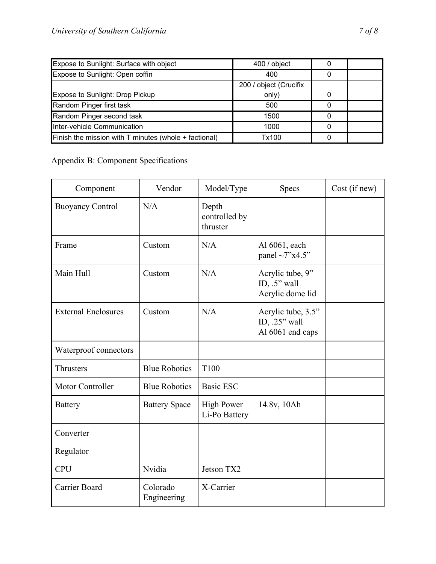| Expose to Sunlight: Surface with object                   | 400 / object           |  |
|-----------------------------------------------------------|------------------------|--|
| Expose to Sunlight: Open coffin                           | 400                    |  |
|                                                           | 200 / object (Crucifix |  |
| Expose to Sunlight: Drop Pickup                           | only)                  |  |
| Random Pinger first task                                  | 500                    |  |
| Random Pinger second task                                 | 1500                   |  |
| Inter-vehicle Communication                               | 1000                   |  |
| Finish the mission with $T$ minutes (whole $+$ factional) | Tx100                  |  |

Appendix B: Component Specifications

| Component                  | Vendor                  | Model/Type                         | <b>Specs</b>                                               | Cost (if new) |
|----------------------------|-------------------------|------------------------------------|------------------------------------------------------------|---------------|
| <b>Buoyancy Control</b>    | N/A                     | Depth<br>controlled by<br>thruster |                                                            |               |
| Frame                      | Custom                  | N/A                                | Al 6061, each<br>panel ~7"x4.5"                            |               |
| Main Hull                  | Custom                  | N/A                                | Acrylic tube, 9"<br>ID, $.5$ " wall<br>Acrylic dome lid    |               |
| <b>External Enclosures</b> | Custom                  | N/A                                | Acrylic tube, 3.5"<br>ID, $.25$ " wall<br>Al 6061 end caps |               |
| Waterproof connectors      |                         |                                    |                                                            |               |
| Thrusters                  | <b>Blue Robotics</b>    | T100                               |                                                            |               |
| Motor Controller           | <b>Blue Robotics</b>    | <b>Basic ESC</b>                   |                                                            |               |
| <b>Battery</b>             | <b>Battery Space</b>    | <b>High Power</b><br>Li-Po Battery | 14.8v, 10Ah                                                |               |
| Converter                  |                         |                                    |                                                            |               |
| Regulator                  |                         |                                    |                                                            |               |
| <b>CPU</b>                 | Nvidia                  | Jetson TX2                         |                                                            |               |
| Carrier Board              | Colorado<br>Engineering | X-Carrier                          |                                                            |               |